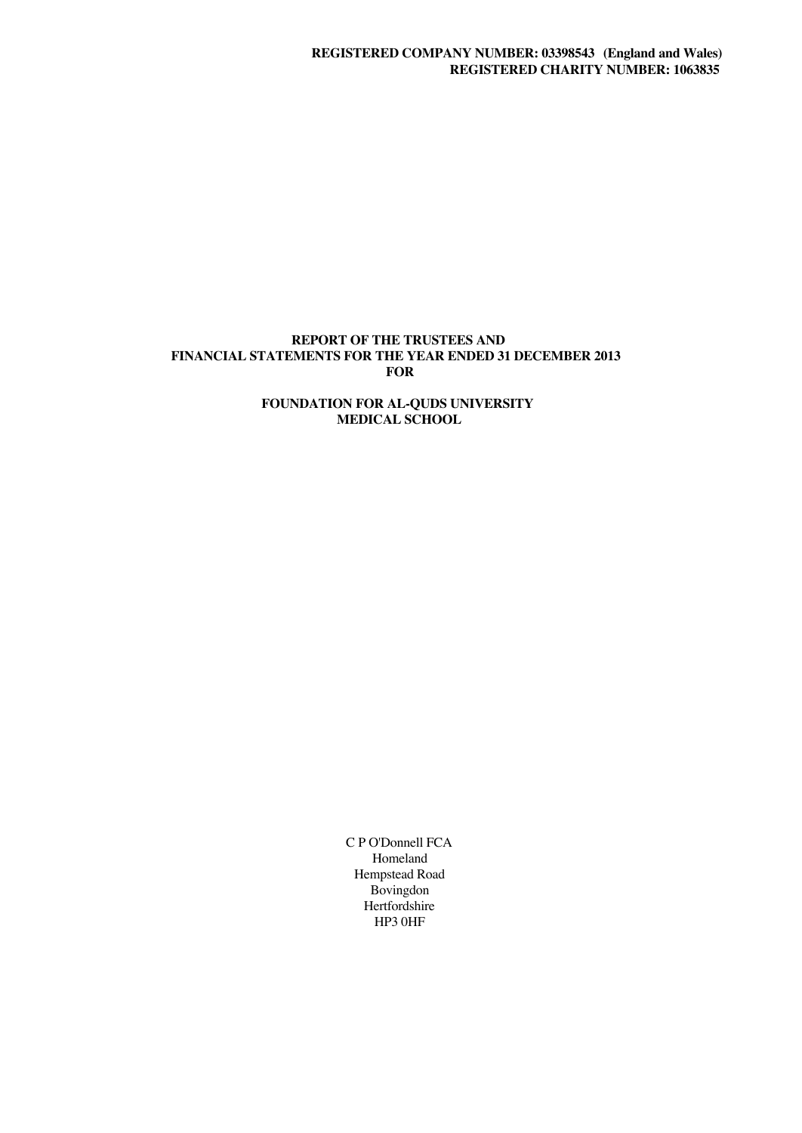## **REPORT OF THE TRUSTEES AND FINANCIAL STATEMENTS FOR THE YEAR ENDED 31 DECEMBER 2013 FOR**

## **FOUNDATION FOR AL-QUDS UNIVERSITY MEDICAL SCHOOL**

C P O'Donnell FCA Homeland Hempstead Road Bovingdon Hertfordshire HP3 0HF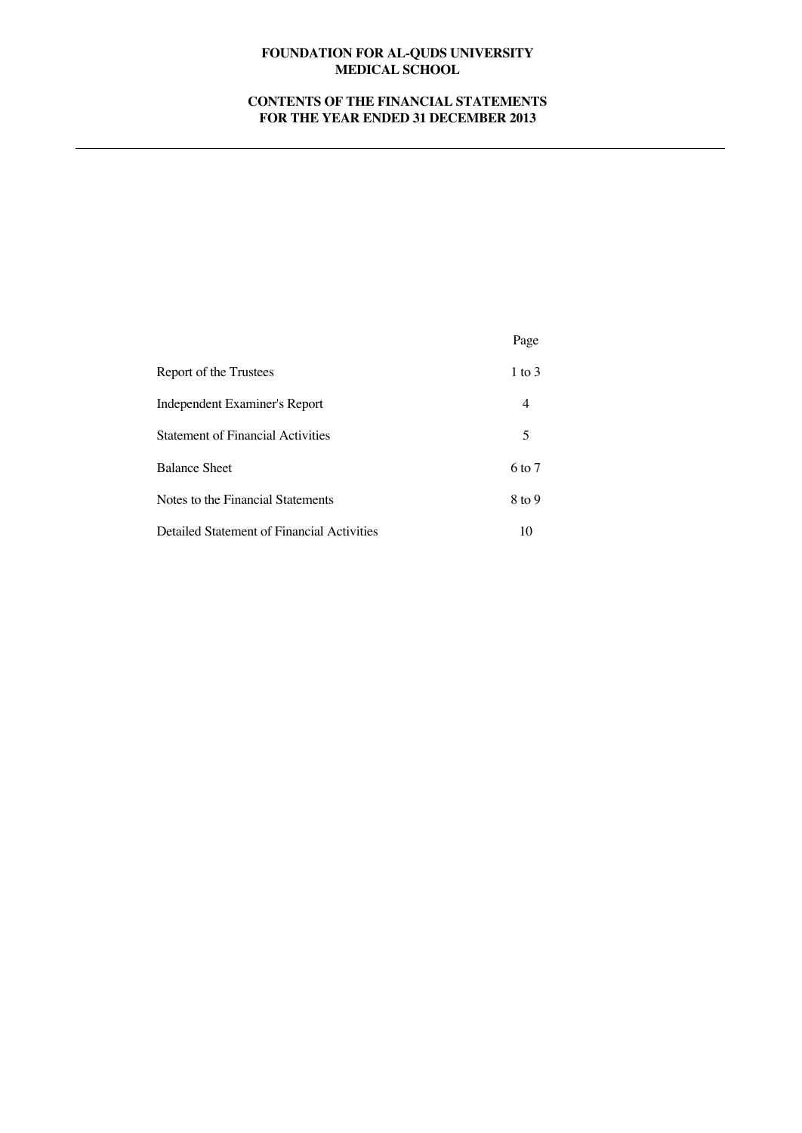# **CONTENTS OF THE FINANCIAL STATEMENTS FOR THE YEAR ENDED 31 DECEMBER 2013**

|                                            | Page       |
|--------------------------------------------|------------|
| Report of the Trustees                     | $1$ to $3$ |
| Independent Examiner's Report              | 4          |
| <b>Statement of Financial Activities</b>   | 5          |
| <b>Balance Sheet</b>                       | $6$ to $7$ |
| Notes to the Financial Statements          | $8$ to 9   |
| Detailed Statement of Financial Activities | 10         |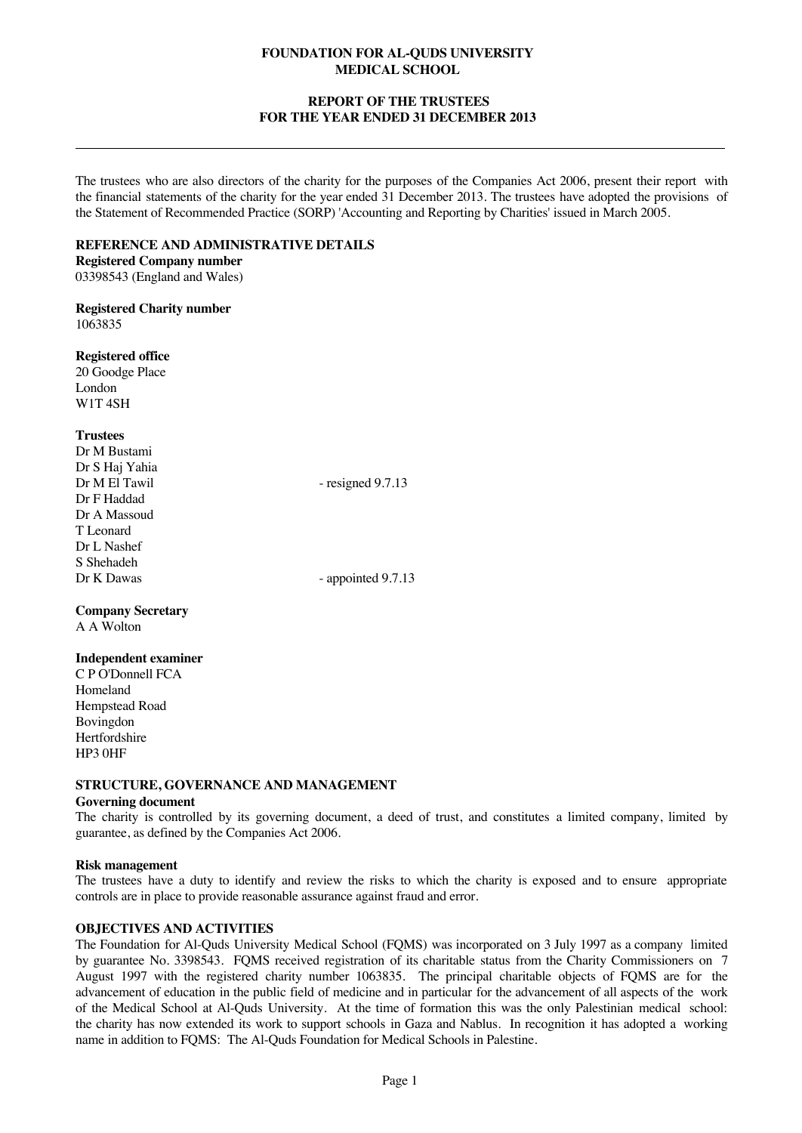## **REPORT OF THE TRUSTEES FOR THE YEAR ENDED 31 DECEMBER 2013**

The trustees who are also directors of the charity for the purposes of the Companies Act 2006, present their report with the financial statements of the charity for the year ended 31 December 2013. The trustees have adopted the provisions of the Statement of Recommended Practice (SORP) 'Accounting and Reporting by Charities' issued in March 2005.

### **REFERENCE AND ADMINISTRATIVE DETAILS**

**Registered Company number** 03398543 (England and Wales)

**Registered Charity number** 1063835

**Registered office**

20 Goodge Place London W1T 4SH

## **Trustees**

Dr M Bustami Dr S Haj Yahia Dr M El Tawil - resigned 9.7.13 Dr F Haddad Dr A Massoud T Leonard Dr L Nashef S Shehadeh<br>Dr K Dawas - appointed 9.7.13

**Company Secretary** A A Wolton

## **Independent examiner**

C P O'Donnell FCA Homeland Hempstead Road Bovingdon Hertfordshire HP3 0HF

# **STRUCTURE, GOVERNANCE AND MANAGEMENT**

## **Governing document**

The charity is controlled by its governing document, a deed of trust, and constitutes a limited company, limited by guarantee, as defined by the Companies Act 2006.

## **Risk management**

The trustees have a duty to identify and review the risks to which the charity is exposed and to ensure appropriate controls are in place to provide reasonable assurance against fraud and error.

# **OBJECTIVES AND ACTIVITIES**

The Foundation for Al-Quds University Medical School (FQMS) was incorporated on 3 July 1997 as a company limited by guarantee No. 3398543. FQMS received registration of its charitable status from the Charity Commissioners on 7 August 1997 with the registered charity number 1063835. The principal charitable objects of FQMS are for the advancement of education in the public field of medicine and in particular for the advancement of all aspects of the work of the Medical School at Al-Quds University. At the time of formation this was the only Palestinian medical school: the charity has now extended its work to support schools in Gaza and Nablus. In recognition it has adopted a working name in addition to FQMS: The Al-Quds Foundation for Medical Schools in Palestine.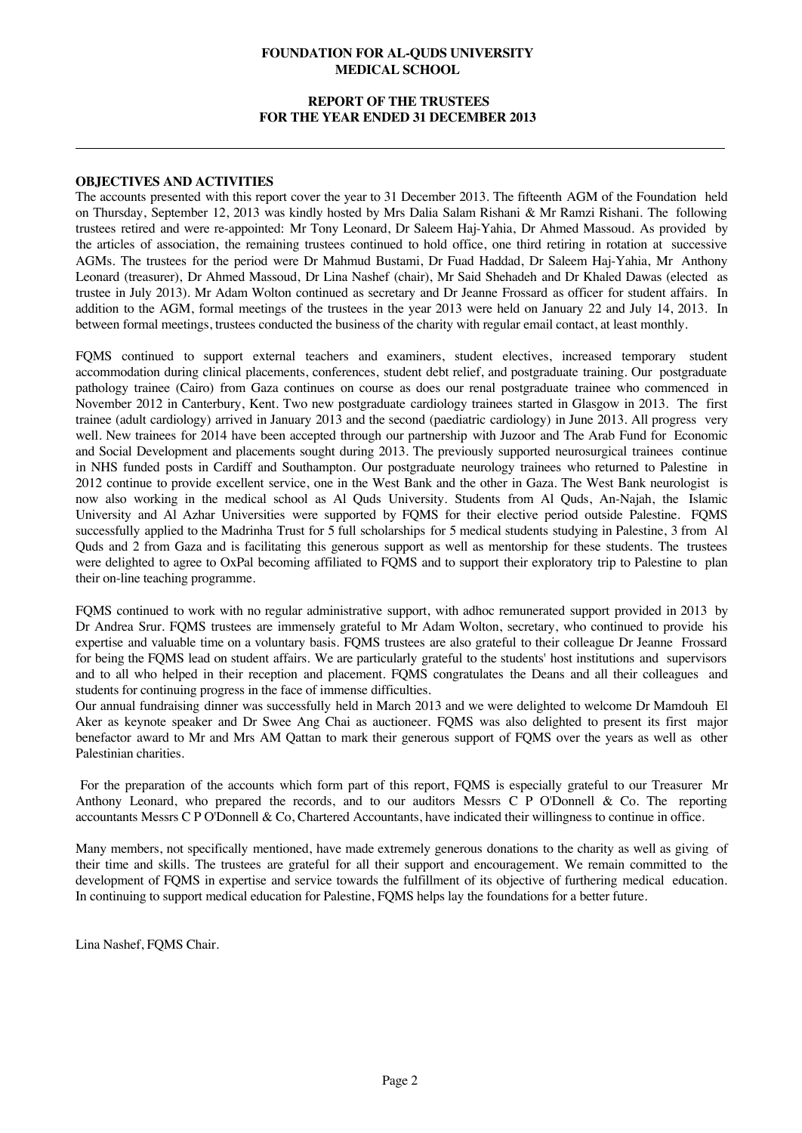## **REPORT OF THE TRUSTEES FOR THE YEAR ENDED 31 DECEMBER 2013**

#### **OBJECTIVES AND ACTIVITIES**

The accounts presented with this report cover the year to 31 December 2013. The fifteenth AGM of the Foundation held on Thursday, September 12, 2013 was kindly hosted by Mrs Dalia Salam Rishani & Mr Ramzi Rishani. The following trustees retired and were re-appointed: Mr Tony Leonard, Dr Saleem Haj-Yahia, Dr Ahmed Massoud. As provided by the articles of association, the remaining trustees continued to hold office, one third retiring in rotation at successive AGMs. The trustees for the period were Dr Mahmud Bustami, Dr Fuad Haddad, Dr Saleem Haj-Yahia, Mr Anthony Leonard (treasurer), Dr Ahmed Massoud, Dr Lina Nashef (chair), Mr Said Shehadeh and Dr Khaled Dawas (elected as trustee in July 2013). Mr Adam Wolton continued as secretary and Dr Jeanne Frossard as officer for student affairs. In addition to the AGM, formal meetings of the trustees in the year 2013 were held on January 22 and July 14, 2013. In between formal meetings, trustees conducted the business of the charity with regular email contact, at least monthly.

FQMS continued to support external teachers and examiners, student electives, increased temporary student accommodation during clinical placements, conferences, student debt relief, and postgraduate training. Our postgraduate pathology trainee (Cairo) from Gaza continues on course as does our renal postgraduate trainee who commenced in November 2012 in Canterbury, Kent. Two new postgraduate cardiology trainees started in Glasgow in 2013. The first trainee (adult cardiology) arrived in January 2013 and the second (paediatric cardiology) in June 2013. All progress very well. New trainees for 2014 have been accepted through our partnership with Juzoor and The Arab Fund for Economic and Social Development and placements sought during 2013. The previously supported neurosurgical trainees continue in NHS funded posts in Cardiff and Southampton. Our postgraduate neurology trainees who returned to Palestine in 2012 continue to provide excellent service, one in the West Bank and the other in Gaza. The West Bank neurologist is now also working in the medical school as Al Quds University. Students from Al Quds, An-Najah, the Islamic University and Al Azhar Universities were supported by FQMS for their elective period outside Palestine. FQMS successfully applied to the Madrinha Trust for 5 full scholarships for 5 medical students studying in Palestine, 3 from Al Quds and 2 from Gaza and is facilitating this generous support as well as mentorship for these students. The trustees were delighted to agree to OxPal becoming affiliated to FQMS and to support their exploratory trip to Palestine to plan their on-line teaching programme.

FQMS continued to work with no regular administrative support, with adhoc remunerated support provided in 2013 by Dr Andrea Srur. FQMS trustees are immensely grateful to Mr Adam Wolton, secretary, who continued to provide his expertise and valuable time on a voluntary basis. FQMS trustees are also grateful to their colleague Dr Jeanne Frossard for being the FQMS lead on student affairs. We are particularly grateful to the students' host institutions and supervisors and to all who helped in their reception and placement. FQMS congratulates the Deans and all their colleagues and students for continuing progress in the face of immense difficulties.

Our annual fundraising dinner was successfully held in March 2013 and we were delighted to welcome Dr Mamdouh El Aker as keynote speaker and Dr Swee Ang Chai as auctioneer. FQMS was also delighted to present its first major benefactor award to Mr and Mrs AM Qattan to mark their generous support of FQMS over the years as well as other Palestinian charities.

For the preparation of the accounts which form part of this report, FQMS is especially grateful to our Treasurer Mr Anthony Leonard, who prepared the records, and to our auditors Messrs C P O'Donnell & Co. The reporting accountants Messrs C P O'Donnell & Co, Chartered Accountants, have indicated their willingness to continue in office.

Many members, not specifically mentioned, have made extremely generous donations to the charity as well as giving of their time and skills. The trustees are grateful for all their support and encouragement. We remain committed to the development of FQMS in expertise and service towards the fulfillment of its objective of furthering medical education. In continuing to support medical education for Palestine, FQMS helps lay the foundations for a better future.

Lina Nashef, FQMS Chair.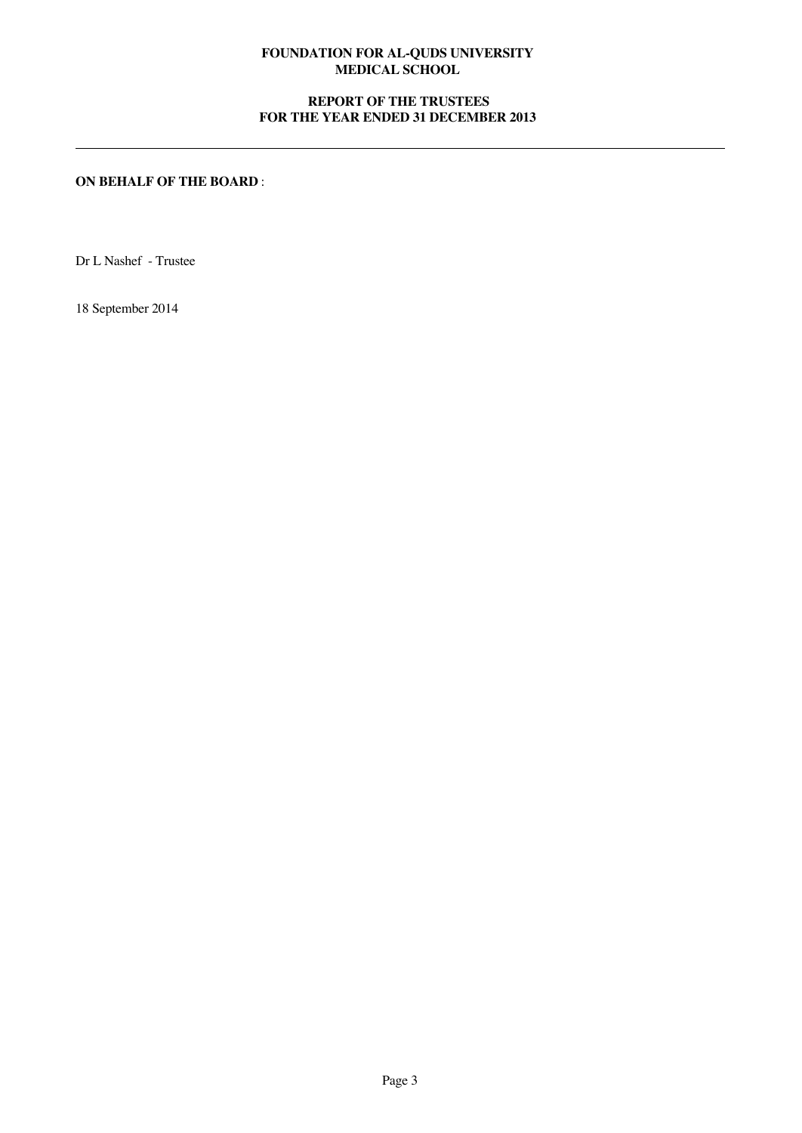# **REPORT OF THE TRUSTEES FOR THE YEAR ENDED 31 DECEMBER 2013**

# **ON BEHALF OF THE BOARD** :

Dr L Nashef - Trustee

18 September 2014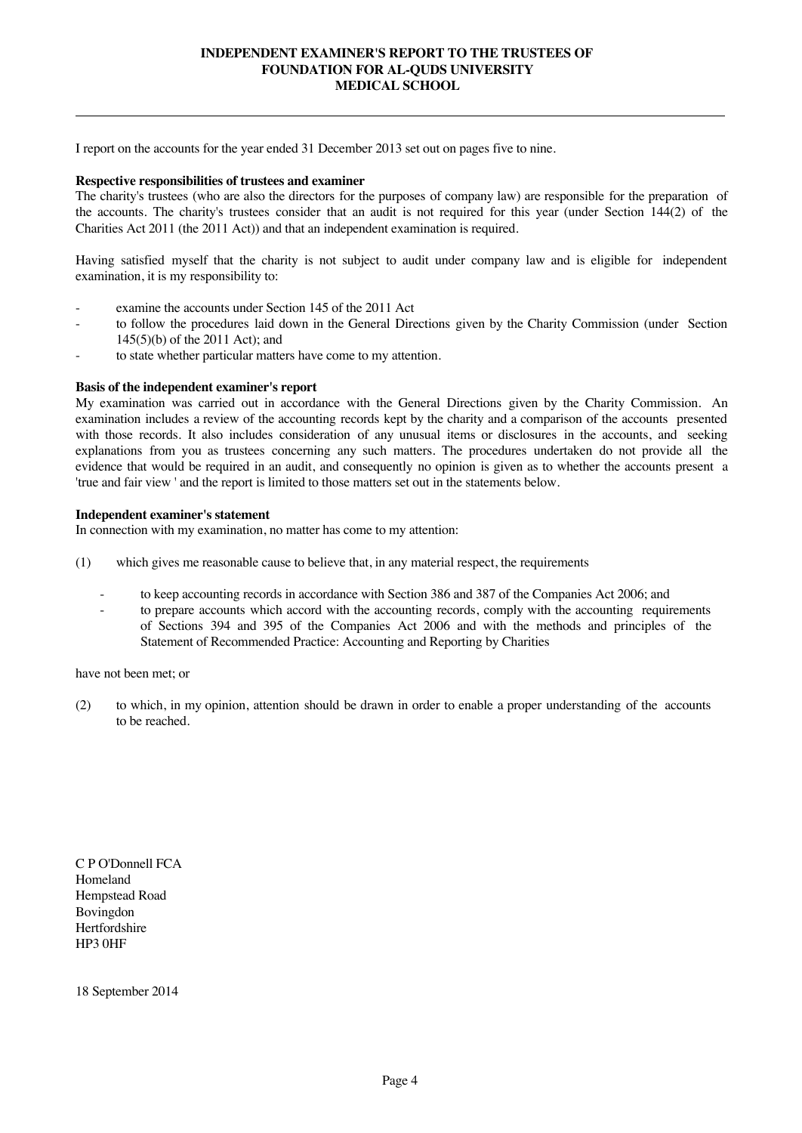## **INDEPENDENT EXAMINER'S REPORT TO THE TRUSTEES OF FOUNDATION FOR AL-QUDS UNIVERSITY MEDICAL SCHOOL**

I report on the accounts for the year ended 31 December 2013 set out on pages five to nine.

#### **Respective responsibilities of trustees and examiner**

The charity's trustees (who are also the directors for the purposes of company law) are responsible for the preparation of the accounts. The charity's trustees consider that an audit is not required for this year (under Section 144(2) of the Charities Act 2011 (the 2011 Act)) and that an independent examination is required.

Having satisfied myself that the charity is not subject to audit under company law and is eligible for independent examination, it is my responsibility to:

- examine the accounts under Section 145 of the 2011 Act
- to follow the procedures laid down in the General Directions given by the Charity Commission (under Section 145(5)(b) of the 2011 Act); and
- to state whether particular matters have come to my attention.

#### **Basis of the independent examiner's report**

My examination was carried out in accordance with the General Directions given by the Charity Commission. An examination includes a review of the accounting records kept by the charity and a comparison of the accounts presented with those records. It also includes consideration of any unusual items or disclosures in the accounts, and seeking explanations from you as trustees concerning any such matters. The procedures undertaken do not provide all the evidence that would be required in an audit, and consequently no opinion is given as to whether the accounts present a 'true and fair view ' and the report is limited to those matters set out in the statements below.

## **Independent examiner's statement**

In connection with my examination, no matter has come to my attention:

- (1) which gives me reasonable cause to believe that, in any material respect, the requirements
	- to keep accounting records in accordance with Section 386 and 387 of the Companies Act 2006; and
	- to prepare accounts which accord with the accounting records, comply with the accounting requirements of Sections 394 and 395 of the Companies Act 2006 and with the methods and principles of the Statement of Recommended Practice: Accounting and Reporting by Charities

have not been met; or

(2) to which, in my opinion, attention should be drawn in order to enable a proper understanding of the accounts to be reached.

C P O'Donnell FCA Homeland Hempstead Road Bovingdon Hertfordshire HP3 0HF

18 September 2014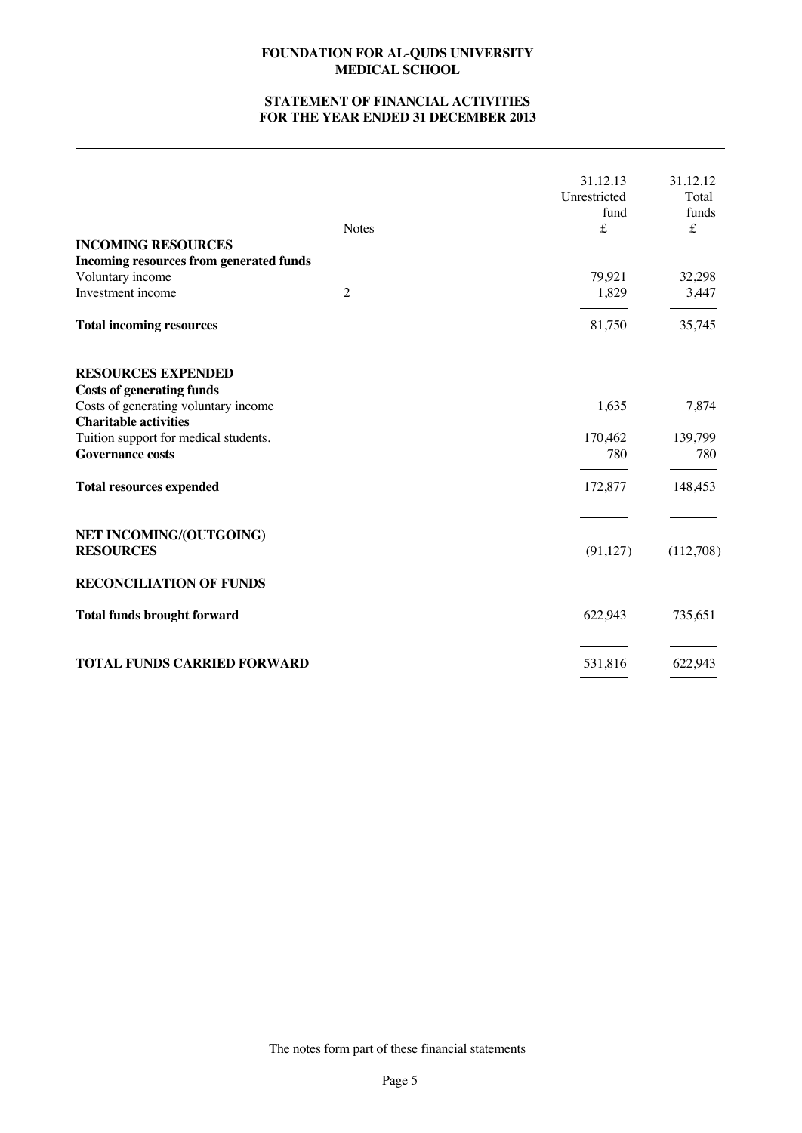# **STATEMENT OF FINANCIAL ACTIVITIES FOR THE YEAR ENDED 31 DECEMBER 2013**

| <b>INCOMING RESOURCES</b>                                                                                                                                                                                                                    | <b>Notes</b>   | 31.12.13<br>Unrestricted<br>fund<br>$\pounds$ | 31.12.12<br>Total<br>funds<br>£    |
|----------------------------------------------------------------------------------------------------------------------------------------------------------------------------------------------------------------------------------------------|----------------|-----------------------------------------------|------------------------------------|
| Incoming resources from generated funds<br>Voluntary income<br>Investment income                                                                                                                                                             | $\overline{2}$ | 79,921<br>1,829                               | 32,298<br>3,447                    |
| <b>Total incoming resources</b>                                                                                                                                                                                                              |                | 81,750                                        | 35,745                             |
| <b>RESOURCES EXPENDED</b><br><b>Costs of generating funds</b><br>Costs of generating voluntary income<br><b>Charitable activities</b><br>Tuition support for medical students.<br><b>Governance costs</b><br><b>Total resources expended</b> |                | 1,635<br>170,462<br>780<br>172,877            | 7,874<br>139,799<br>780<br>148,453 |
| NET INCOMING/(OUTGOING)<br><b>RESOURCES</b>                                                                                                                                                                                                  |                | (91, 127)                                     | (112,708)                          |
| <b>RECONCILIATION OF FUNDS</b>                                                                                                                                                                                                               |                |                                               |                                    |
| <b>Total funds brought forward</b>                                                                                                                                                                                                           |                | 622,943                                       | 735,651                            |
| <b>TOTAL FUNDS CARRIED FORWARD</b>                                                                                                                                                                                                           |                | 531,816                                       | 622,943                            |

The notes form part of these financial statements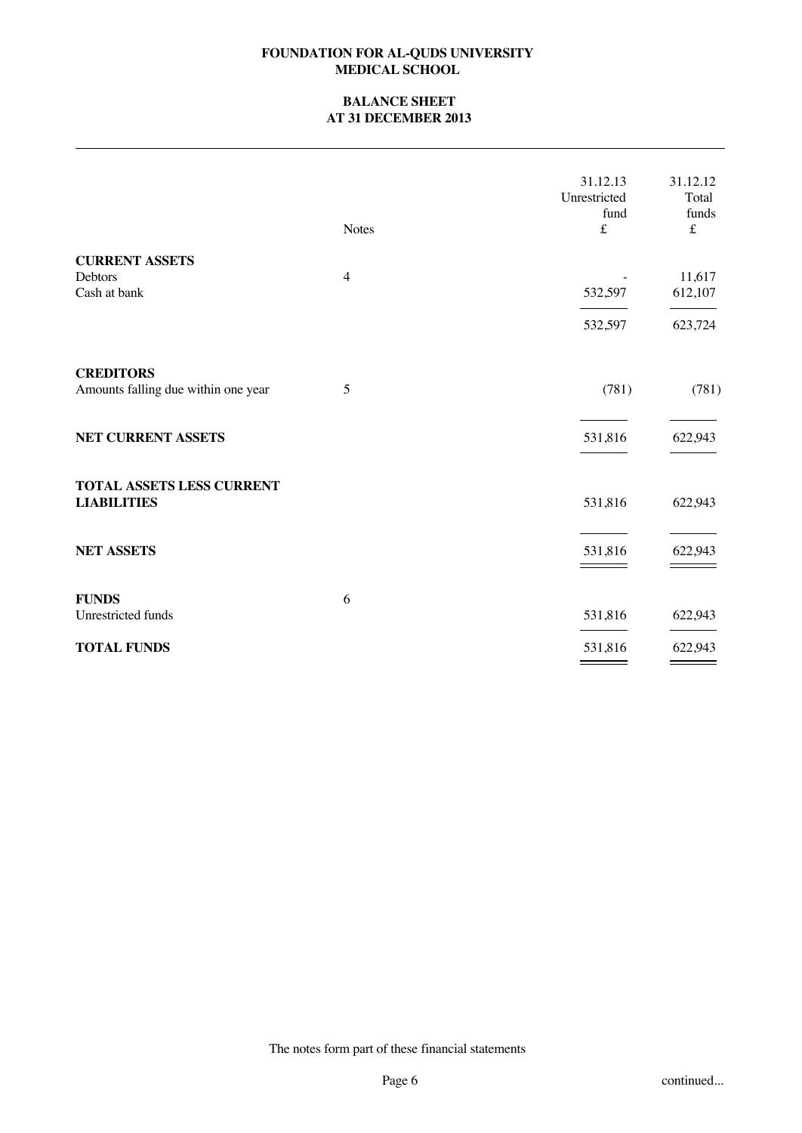## **BALANCE SHEET AT 31 DECEMBER 2013**

|                                                         | <b>Notes</b>   | 31.12.13<br>Unrestricted<br>fund<br>$\pounds$ | 31.12.12<br>Total<br>funds<br>$\pounds$ |
|---------------------------------------------------------|----------------|-----------------------------------------------|-----------------------------------------|
| <b>CURRENT ASSETS</b>                                   |                |                                               |                                         |
| Debtors<br>Cash at bank                                 | $\overline{4}$ | 532,597                                       | 11,617<br>612,107                       |
|                                                         |                | 532,597                                       | 623,724                                 |
| <b>CREDITORS</b><br>Amounts falling due within one year | 5              | (781)                                         | (781)                                   |
| <b>NET CURRENT ASSETS</b>                               |                | 531,816                                       | 622,943                                 |
| TOTAL ASSETS LESS CURRENT<br><b>LIABILITIES</b>         |                | 531,816                                       | 622,943                                 |
| <b>NET ASSETS</b>                                       |                | 531,816                                       | 622,943                                 |
| <b>FUNDS</b>                                            | 6              |                                               |                                         |
| Unrestricted funds                                      |                | 531,816                                       | 622,943                                 |
| <b>TOTAL FUNDS</b>                                      |                | 531,816<br>_____                              | 622,943                                 |

The notes form part of these financial statements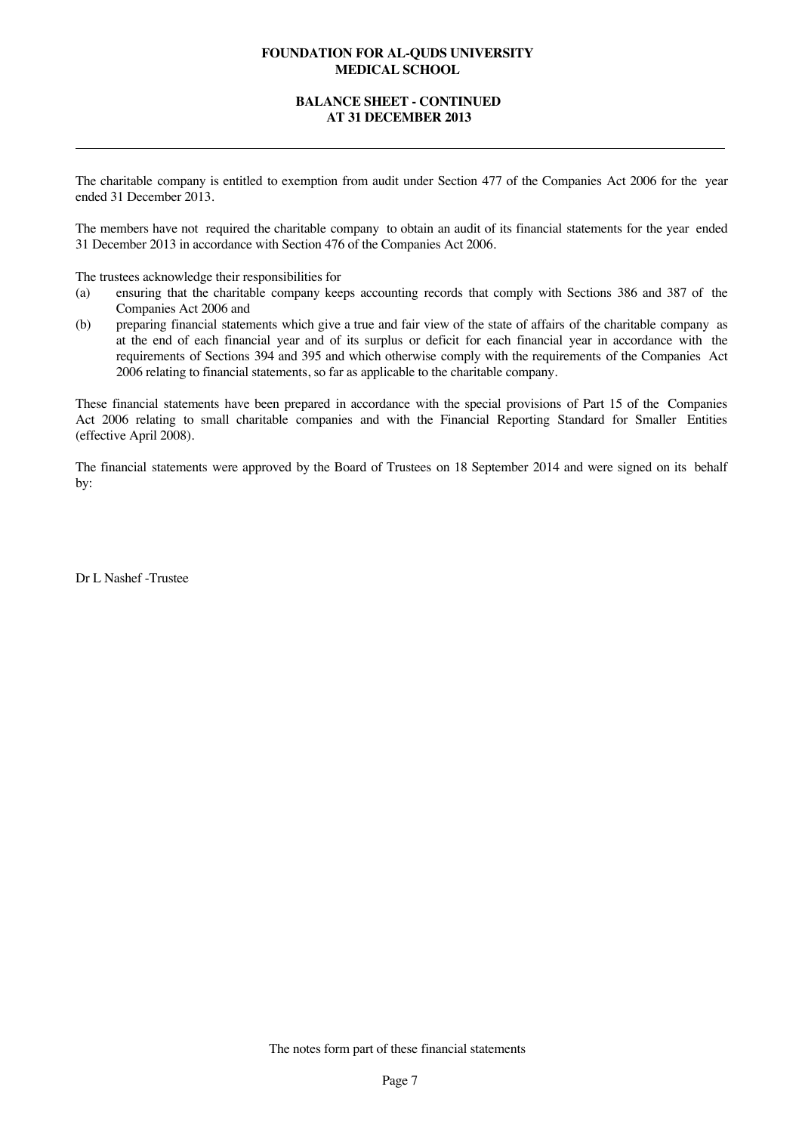## **BALANCE SHEET - CONTINUED AT 31 DECEMBER 2013**

The charitable company is entitled to exemption from audit under Section 477 of the Companies Act 2006 for the year ended 31 December 2013.

The members have not required the charitable company to obtain an audit of its financial statements for the year ended 31 December 2013 in accordance with Section 476 of the Companies Act 2006.

The trustees acknowledge their responsibilities for

- (a) ensuring that the charitable company keeps accounting records that comply with Sections 386 and 387 of the Companies Act 2006 and
- (b) preparing financial statements which give a true and fair view of the state of affairs of the charitable company as at the end of each financial year and of its surplus or deficit for each financial year in accordance with the requirements of Sections 394 and 395 and which otherwise comply with the requirements of the Companies Act 2006 relating to financial statements, so far as applicable to the charitable company.

These financial statements have been prepared in accordance with the special provisions of Part 15 of the Companies Act 2006 relating to small charitable companies and with the Financial Reporting Standard for Smaller Entities (effective April 2008).

The financial statements were approved by the Board of Trustees on 18 September 2014 and were signed on its behalf by:

Dr L Nashef -Trustee

The notes form part of these financial statements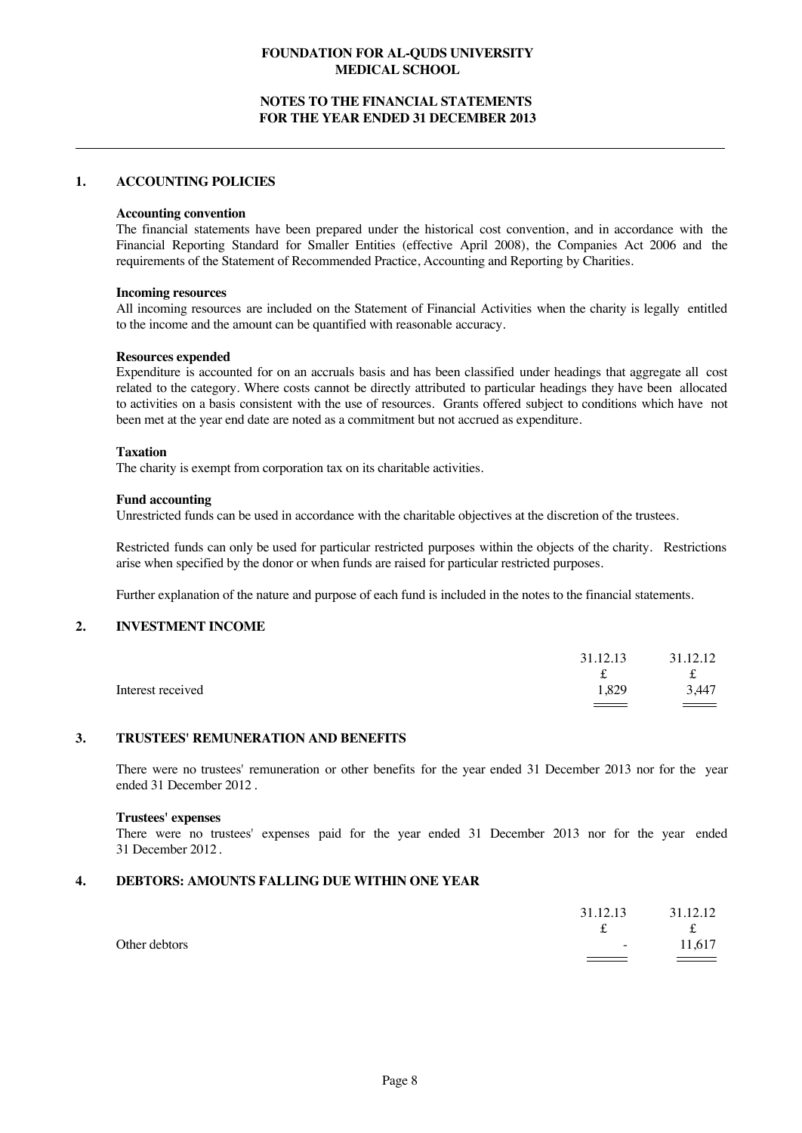## **NOTES TO THE FINANCIAL STATEMENTS FOR THE YEAR ENDED 31 DECEMBER 2013**

#### **1. ACCOUNTING POLICIES**

#### **Accounting convention**

The financial statements have been prepared under the historical cost convention, and in accordance with the Financial Reporting Standard for Smaller Entities (effective April 2008), the Companies Act 2006 and the requirements of the Statement of Recommended Practice, Accounting and Reporting by Charities.

#### **Incoming resources**

All incoming resources are included on the Statement of Financial Activities when the charity is legally entitled to the income and the amount can be quantified with reasonable accuracy.

#### **Resources expended**

Expenditure is accounted for on an accruals basis and has been classified under headings that aggregate all cost related to the category. Where costs cannot be directly attributed to particular headings they have been allocated to activities on a basis consistent with the use of resources. Grants offered subject to conditions which have not been met at the year end date are noted as a commitment but not accrued as expenditure.

#### **Taxation**

The charity is exempt from corporation tax on its charitable activities.

#### **Fund accounting**

Unrestricted funds can be used in accordance with the charitable objectives at the discretion of the trustees.

Restricted funds can only be used for particular restricted purposes within the objects of the charity. Restrictions arise when specified by the donor or when funds are raised for particular restricted purposes.

Further explanation of the nature and purpose of each fund is included in the notes to the financial statements.

## **2. INVESTMENT INCOME**

|                   | 31.12.13 | 31.12.12      |
|-------------------|----------|---------------|
|                   | ∼        | t             |
| Interest received | 1.829    | 3,447         |
|                   |          | $\sim$ $\sim$ |

## **3. TRUSTEES' REMUNERATION AND BENEFITS**

There were no trustees' remuneration or other benefits for the year ended 31 December 2013 nor for the year ended 31 December 2012 .

#### **Trustees' expenses**

There were no trustees' expenses paid for the year ended 31 December 2013 nor for the year ended 31 December 2012.

## **4. DEBTORS: AMOUNTS FALLING DUE WITHIN ONE YEAR**

|               |                                   | 31.12.13 31.12.12 |
|---------------|-----------------------------------|-------------------|
|               | ີ                                 | f                 |
| Other debtors | <b>Service</b>                    | 11.617            |
|               | <b>Contract Contract Contract</b> |                   |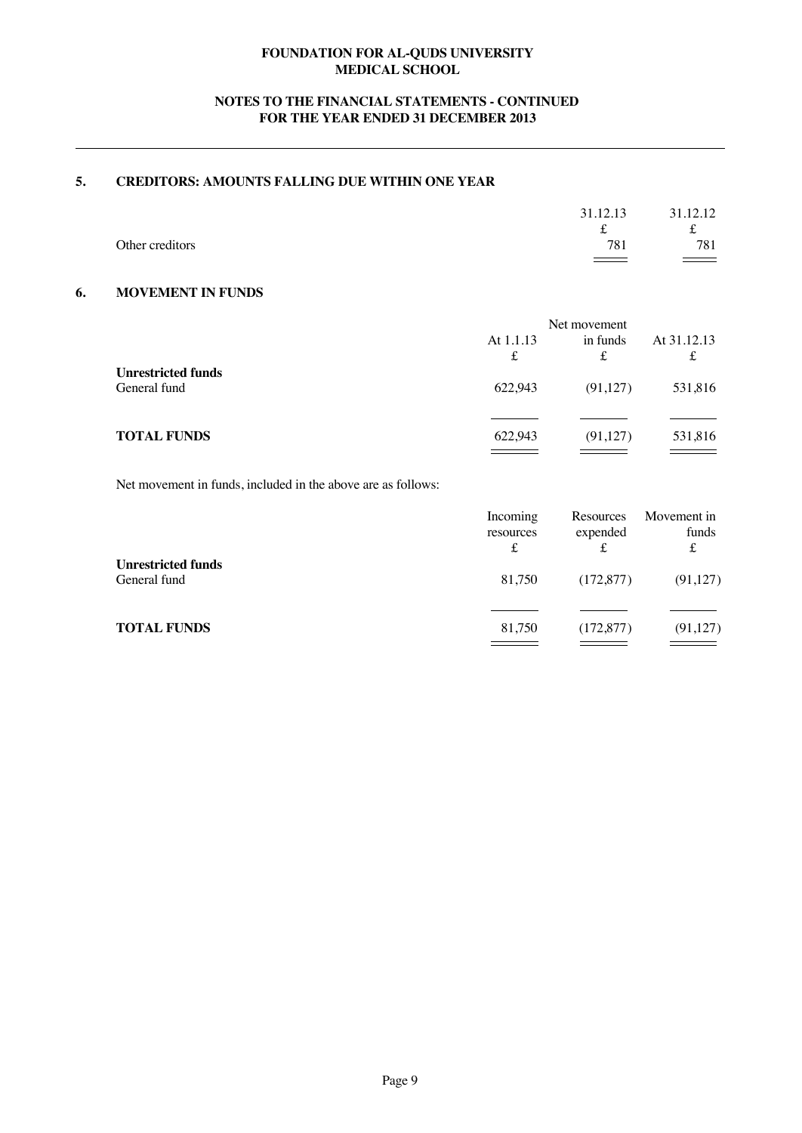# **NOTES TO THE FINANCIAL STATEMENTS - CONTINUED FOR THE YEAR ENDED 31 DECEMBER 2013**

# **5. CREDITORS: AMOUNTS FALLING DUE WITHIN ONE YEAR**

|                 | 31.12.13          | 31.12.12      |
|-----------------|-------------------|---------------|
|                 | s                 | ∼             |
| Other creditors | 781               | 781           |
|                 | $\equiv$ $\equiv$ | $\sim$ $\sim$ |

## **6. MOVEMENT IN FUNDS**

|                                           | Net movement   |               |             |
|-------------------------------------------|----------------|---------------|-------------|
|                                           | At 1.1.13<br>£ | in funds<br>£ | At 31.12.13 |
| <b>Unrestricted funds</b><br>General fund | 622.943        | (91,127)      | 531,816     |
| <b>TOTAL FUNDS</b>                        | 622.943        | (91, 127)     | 531,816     |

Net movement in funds, included in the above are as follows:

|                                           | Incoming<br>resources<br>£ | Resources<br>expended | Movement in<br>funds<br>£ |
|-------------------------------------------|----------------------------|-----------------------|---------------------------|
| <b>Unrestricted funds</b><br>General fund | 81,750                     | (172, 877)            | (91, 127)                 |
| <b>TOTAL FUNDS</b>                        | 81,750                     | (172, 877)            | (91, 127)                 |